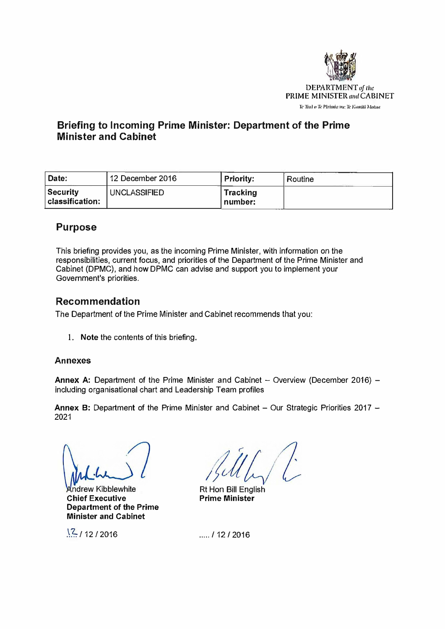

# **Briefing to Incoming Prime Minister: Department of the Prime Minister and Cabinet**

| Date:                           | 12 December 2016    | Priority:                  | Routine |
|---------------------------------|---------------------|----------------------------|---------|
| Security<br>$ $ classification: | <b>UNCLASSIFIED</b> | <b>Tracking</b><br>number: |         |

# **Purpose**

This briefing provides you, as the incoming Prime Minister, with information on the responsibilities, current focus, and priorities of the Department of the Prime Minister and Cabinet (DPMC), and how DPMC can advise and support you to implement your Government's priorities.

## **Recommendation**

The Department of the Prime Minister and Cabinet recommends that you:

1. **Note** the contents of this briefing.

## **Annexes**

**Annex A: Department of the Prime Minister and Cabinet - Overview (December 2016)** including organisational chart and Leadership Team profiles

**Annex B:** Department of the Prime Minister and Cabinet - Our Strategic Priorities 2017 -2021

**Andrew Kibblewhite Chief Executive Department of the Prime Minister and Cabinet** 

 $\frac{12}{12}$ /2016

Rt Hon Bill English **Prime Minister** 

..... / 12 *f* 2016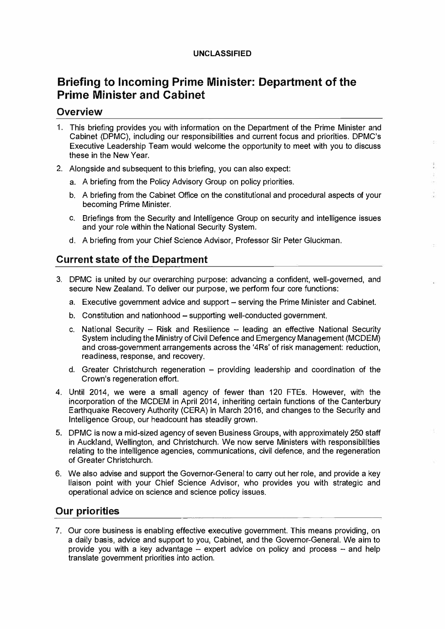### **UNCLASSIFIED**

# **Briefing to Incoming Prime Minister: Department of the Prime Minister and Cabinet**

## **Overview**

- 1. This briefing provides you with information on the Department of the Prime Minister and Cabinet (DPMC), including our responsibilities and current focus and priorities. DPMC's Executive Leadership Team would welcome the opportunity to meet with you to discuss these in the New Year.
- 2. Alongside and subsequent to this briefing, you can also expect:
	- a. A briefing from the Policy Advisory Group on policy priorities.
	- b. A briefing from the Cabinet Office on the constitutional and procedural aspects of your becoming Prime Minister.
	- c. Briefings from the Security and Intelligence Group on security and intelligence issues and your role within the National Security System.
	- d. A briefing from your Chief Science Advisor, Professor Sir Peter Gluckman.

## **Current state of the Department**

- 3. DPMC is united by our overarching purpose: advancing a confident, well-governed, and secure New Zealand. To deliver our purpose, we perform four core functions:
	- a. Executive government advice and support serving the Prime Minister and Cabinet.
	- b. Constitution and nationhood supporting well-conducted government.
	- c. National Security  $-$  Risk and Resilience  $-$  leading an effective National Security System including the Ministry of Civil Defence and Emergency Management (MC DEM) and cross-government arrangements across the '4Rs' of risk management: reduction, readiness, response, and recovery.
	- d. Greater Christchurch regeneration providing leadership and coordination of the Crown's regeneration effort.
- 4. Until 2014, we were a small agency of fewer than 120 FTEs. However, with the incorporation of the MCDEM in April 2014, inheriting certain functions of the Canterbury Earthquake Recovery Authority (CERA) in March 2016, and changes to the Security and Intelligence Group, our headcount has steadily grown.
- 5. DPMC is now a mid-sized agency of seven Business Groups, with approximately 250 staff in Auckland, Wellington, and Christchurch. We now serve Ministers with responsibilities relating to the intelligence agencies, communications, civil defence, and the regeneration of Greater Christchurch.
- 6. We also advise and support the Governor-General to carry out her role, and provide a key liaison point with your Chief Science Advisor, who provides you with strategic and operational advice on science and science policy issues.

## **Our priorities**

7. Our core business is enabling effective executive government. This means providing, on a daily basis, advice and support to you, Cabinet, and the Governor-General. We aim to provide you with a key advantage  $-$  expert advice on policy and process  $-$  and help translate government priorities into action.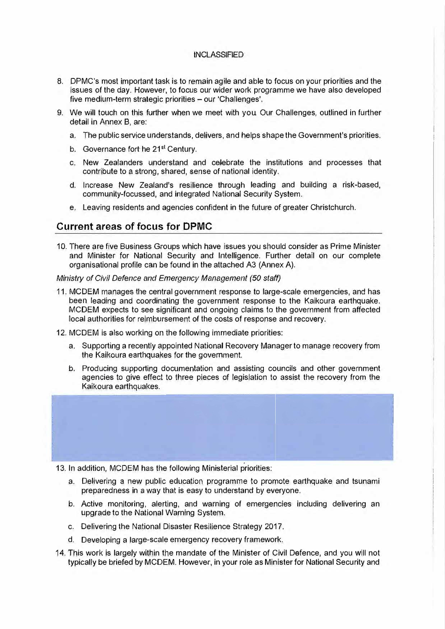#### **INCLASSIFIED**

- a. IDPMC's most important task is to remain agile and able to focus on your priorities and the issues of the day. However, to focus our wider work programme we have also developed five medium-term strategic priorities - our 'Challenges'.
- 9. We will touch on this further when we meet with you. Our Challenges, outlined in further detail in Annex B, are:
	- a. The public service understands, delivers, and helps shape the Government's priorities.
	- b. Governance fort he 21<sup>st</sup> Century.
	- c. New Zea1landers understand and celebrate the institutions and processes that contribute to a strong, shared, sense of national identity.
	- d. Increase New Zealand's resilience through leading and building a risk-based, community-focussed, and integrated National Security System.
	- e. Leaving residents and agencies confident in the future of greater Christchurch.

## **Current areas of focus for DPMC**

10. There are five Business Groups which have issues you should consider as Prime Minister and Minister for National Security and Intelligence. Further detail on our complete organisational profile can be found in the attached A3 (Annex A).

*Ministry of Civil Defence and Emergency Management (50 staff)* 

- 11. MCDEM manages the central government response to large-scale emergencies, and has been leading and coordinating the government response to the Kaikoura earthquake. MCDEM expects to see significant and ongoing claims to the government from affected local authorities for reimbursement of the costs of response and recovery.
- 12. MCDEM is also working on the following immediate priorities:
	- a. Supporting a recently appointed National Recovery Manager to manage recovery from the Kaikoura earthquakes for the government.
	- b. Producing supporting documentation and assisting councils and other government agencies to give effect to three pieces of legislation to assist the recovery from the Kaikoura earthquakes.



- 13. In addition, MCDEM has the following Ministerial priorities:
	- a. Delivering a new public education programme to promote earthquake and tsunami preparedness in a way that is easy to understand by everyone.
	- b. Active monitoring, alerting, and warning of emergencies including delivering an upgrade to the National Warning System.
	- c. Delivering the National Disaster Resilience Strategy 2017.
	- d. Developing a large-scale emergency recovery framework.
- 14. This work is largely within the mandate of the Minister of Civil Defence, and you will not typically be briefed by MCDEM. However, in your rol le as Minister for National Security and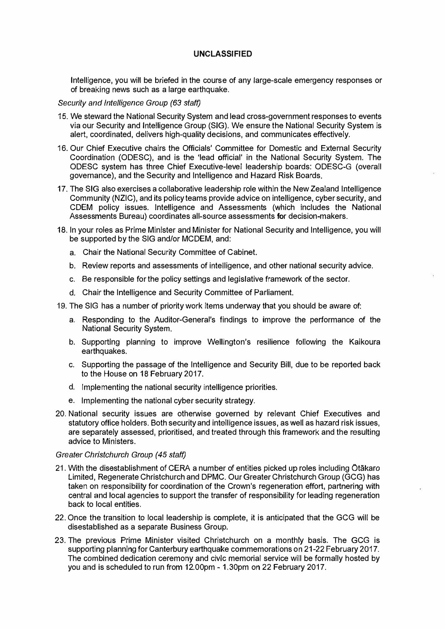## **UNCLASSIFIED**

Intelligence, you will be briefed in the course of any large-scale emergency responses or of breaking news such as a large earthquake.

#### *Security and Intelligence Group (63 staff)*

- 15. We steward the National Security System and lead cross-government responses to events via our Security and Intelligence Group (SIG). We ensure the National Security System is alert, coordinated, delivers high-quality decisions, and communicates effectively.
- 16. Our Chief Executive chairs the Officials' Committee for Domestic and External Security Coordination (ODESC), and is the 'lead official' in the Natlonal Security System. The ODESC system has three Chief Executive-level leadership boards: ODESC-G (overall governance), and the Security and Intelligence and Hazard Risk Boards.
- 17. The SIG also exercises a collaborative leadership role within the New Zealand Intelligence Community (NZIC), and its policy teams provide advice on intelligence, cyber security, and CDEM policy issues. Intelligence and Assessments (which includes the National Assessments Bureau) coordinates all-source assessments for decision-makers.
- 18. In your roles as Prime Minister and Minister for National Security and Intelligence, you will be supported by the SIG and/or MCDEM, and:
	- a. Chair the National Security Committee of Cabinet.
	- b. Review reports and assessments of intelligence, and other national security advice.
	- c. Be responslble for the policy settings and legislative framework of the sector.
	- d. Chair the Intelligence and Security Committee of Parliament.
- 19. The SIG has a number of priority work items underway that you should be aware of:
	- a. Responding to the Auditor-General's findings to improve the performance of the National Security System.
	- b. Supporting planning to improve Wellington's resilience following the Kaikoura earthquakes.
	- c. Supporting the passage of the Intelligence and Security Bill, due to be reported back to the House on 18 February 2017.
	- d. Implementing the national security intelligence priorities.
	- e. Implementing the national cyber security strategy.
- 20. National security issues are otherwise governed by relevant Chief Executives and statutory office holders. Both security and intelligence issues, as well as hazard risk issues, are separately assessed, prioritised, and treated through this framework and the resulting advice to Ministers.

#### *Greater Christchurch Group (45 staff)*

- 21. With the disestablishment of CERA a number of entities picked up roles including Otakaro Limited, Regenerate Christchurch and DPMC. Our Greater Christchurch Group (GCG) has taken on responsibility for coordination of the Crown's regeneration *effort,* partnering with central and local agencies to support the transfer of responsibility for leading regeneration back to local entities.
- 22. Once the transition to local leadership is complete, it is anticipated that the GCG will be disestablished as a separate Business Group.
- 23. The previous Prime Minister visited Christchurch on a monthly basis. The GCG is supporting planning for Canterbury earthquake commemorations on 21-22 February 2017. The combined dedication ceremony and civic memorial service will be formally hosted by you and is scheduled to run from 12.00pm - 1.30pm on 22 February 2017.